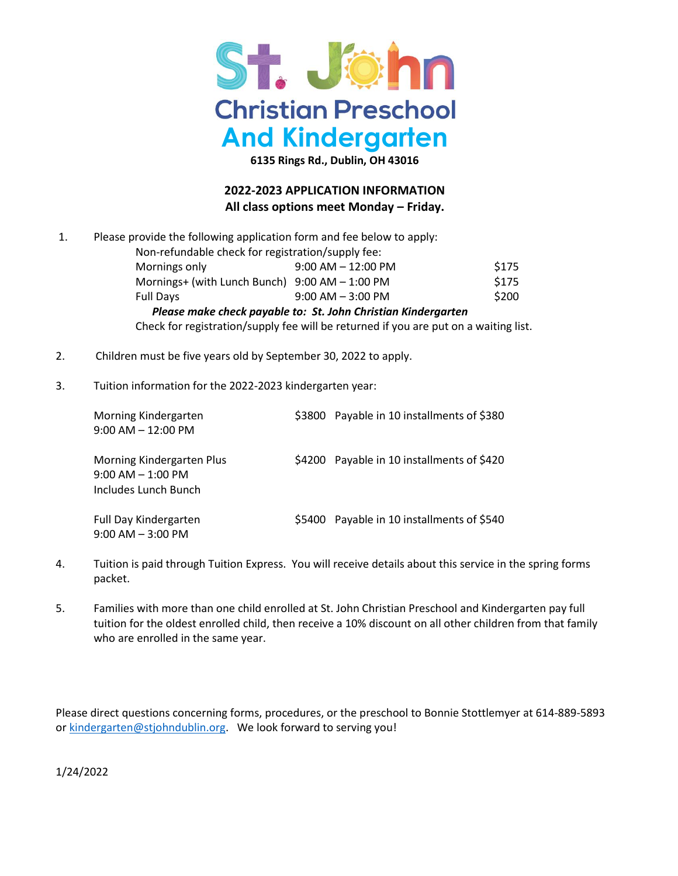

**6135 Rings Rd., Dublin, OH 43016**

## **2022-2023 APPLICATION INFORMATION All class options meet Monday – Friday.**

| 1. | Please provide the following application form and fee below to apply:<br>Non-refundable check for registration/supply fee: |                        |       |  |
|----|----------------------------------------------------------------------------------------------------------------------------|------------------------|-------|--|
|    | Mornings only                                                                                                              | $9:00$ AM $- 12:00$ PM | \$175 |  |
|    | Mornings+ (with Lunch Bunch) $9:00$ AM $- 1:00$ PM                                                                         |                        | \$175 |  |
|    | <b>Full Days</b>                                                                                                           | $9:00$ AM $-3:00$ PM   | \$200 |  |
|    | Please make check payable to: St. John Christian Kindergarten                                                              |                        |       |  |

Check for registration/supply fee will be returned if you are put on a waiting list.

- 2. Children must be five years old by September 30, 2022 to apply.
- 3. Tuition information for the 2022-2023 kindergarten year:

| Morning Kindergarten<br>$9:00$ AM $-12:00$ PM                             | \$3800 Payable in 10 installments of \$380 |  |
|---------------------------------------------------------------------------|--------------------------------------------|--|
| Morning Kindergarten Plus<br>$9:00$ AM $-1:00$ PM<br>Includes Lunch Bunch | \$4200 Payable in 10 installments of \$420 |  |
| <b>Full Day Kindergarten</b><br>$9:00$ AM $-3:00$ PM                      | \$5400 Payable in 10 installments of \$540 |  |

- 4. Tuition is paid through Tuition Express. You will receive details about this service in the spring forms packet.
- 5. Families with more than one child enrolled at St. John Christian Preschool and Kindergarten pay full tuition for the oldest enrolled child, then receive a 10% discount on all other children from that family who are enrolled in the same year.

Please direct questions concerning forms, procedures, or the preschool to Bonnie Stottlemyer at 614-889-5893 o[r kindergarten@stjohndublin.org.](mailto:kindergarten@stjohndublin.org) We look forward to serving you!

1/24/2022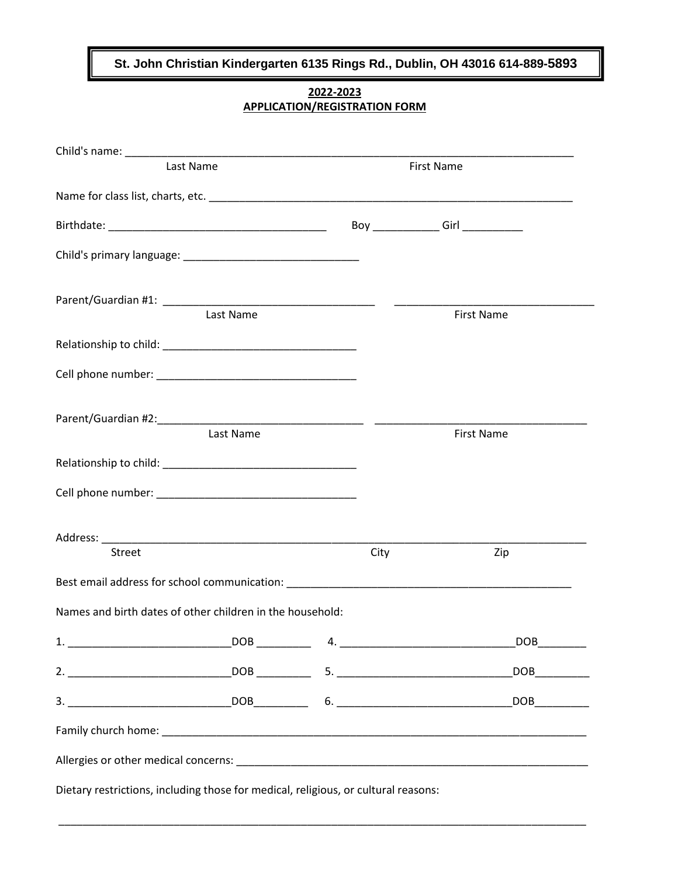**St. John Christian Kindergarten 6135 Rings Rd., Dublin, OH 43016 614-889-5893**

**2022-2023 APPLICATION/REGISTRATION FORM**

| Last Name                                                                        |           |      | First Name        |  |  |
|----------------------------------------------------------------------------------|-----------|------|-------------------|--|--|
|                                                                                  |           |      |                   |  |  |
|                                                                                  |           |      |                   |  |  |
|                                                                                  |           |      |                   |  |  |
|                                                                                  | Last Name |      | <b>First Name</b> |  |  |
|                                                                                  |           |      |                   |  |  |
|                                                                                  |           |      |                   |  |  |
|                                                                                  | Last Name |      | <b>First Name</b> |  |  |
|                                                                                  |           |      |                   |  |  |
|                                                                                  |           |      |                   |  |  |
| Street                                                                           |           | City | Zip               |  |  |
|                                                                                  |           |      |                   |  |  |
| Names and birth dates of other children in the household:                        |           |      |                   |  |  |
|                                                                                  |           |      |                   |  |  |
|                                                                                  |           |      |                   |  |  |
|                                                                                  |           |      |                   |  |  |
|                                                                                  |           |      |                   |  |  |
|                                                                                  |           |      |                   |  |  |
| Distant restrictions, including these for readisel, religious or suburblessesses |           |      |                   |  |  |

\_\_\_\_\_\_\_\_\_\_\_\_\_\_\_\_\_\_\_\_\_\_\_\_\_\_\_\_\_\_\_\_\_\_\_\_\_\_\_\_\_\_\_\_\_\_\_\_\_\_\_\_\_\_\_\_\_\_\_\_\_\_\_\_\_\_\_\_\_\_\_\_\_\_\_\_\_\_\_\_\_\_\_\_\_\_\_

Dietary restrictions, including those for medical, religious, or cultural reasons: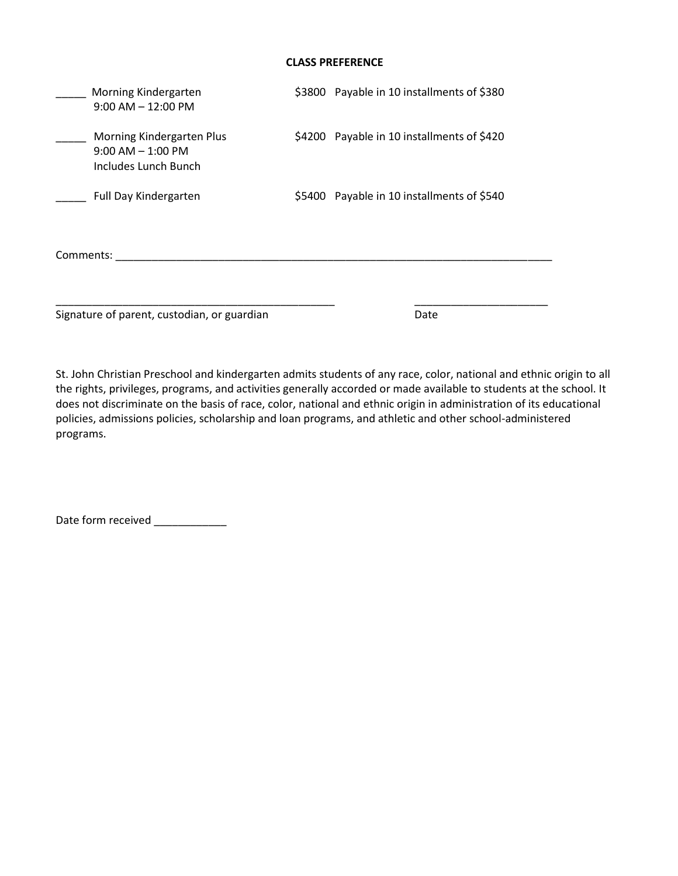## **CLASS PREFERENCE**

|           | Morning Kindergarten<br>$9:00$ AM $-12:00$ PM                              |  | \$3800 Payable in 10 installments of \$380 |  |  |
|-----------|----------------------------------------------------------------------------|--|--------------------------------------------|--|--|
|           | Morning Kindergarten Plus<br>$9:00$ AM $- 1:00$ PM<br>Includes Lunch Bunch |  | \$4200 Payable in 10 installments of \$420 |  |  |
|           | <b>Full Day Kindergarten</b>                                               |  | \$5400 Payable in 10 installments of \$540 |  |  |
| Comments: |                                                                            |  |                                            |  |  |
|           | Signature of parent, custodian, or guardian                                |  | Date                                       |  |  |

St. John Christian Preschool and kindergarten admits students of any race, color, national and ethnic origin to all the rights, privileges, programs, and activities generally accorded or made available to students at the school. It does not discriminate on the basis of race, color, national and ethnic origin in administration of its educational policies, admissions policies, scholarship and loan programs, and athletic and other school-administered programs.

Date form received \_\_\_\_\_\_\_\_\_\_\_\_\_